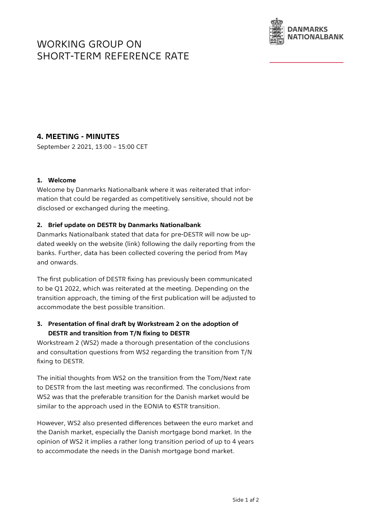# WORKING GROUP ON SHORT-TERM REFERENCE RATE



# **4. MEETING - MINUTES**

September 2 2021, 13:00 – 15:00 CET

#### **1. Welcome**

Welcome by Danmarks Nationalbank where it was reiterated that information that could be regarded as competitively sensitive, should not be disclosed or exchanged during the meeting.

### **2. Brief update on DESTR by Danmarks Nationalbank**

Danmarks Nationalbank stated that data for pre-DESTR will now be updated weekly on the website (link) following the daily reporting from the banks. Further, data has been collected covering the period from May and onwards.

The first publication of DESTR fixing has previously been communicated to be Q1 2022, which was reiterated at the meeting. Depending on the transition approach, the timing of the first publication will be adjusted to accommodate the best possible transition.

## **3. Presentation of final draft by Workstream 2 on the adoption of DESTR and transition from T/N fixing to DESTR**

Workstream 2 (WS2) made a thorough presentation of the conclusions and consultation questions from WS2 regarding the transition from T/N fixing to DESTR.

The initial thoughts from WS2 on the transition from the Tom/Next rate to DESTR from the last meeting was reconfirmed. The conclusions from WS2 was that the preferable transition for the Danish market would be similar to the approach used in the EONIA to €STR transition.

However, WS2 also presented differences between the euro market and the Danish market, especially the Danish mortgage bond market. In the opinion of WS2 it implies a rather long transition period of up to 4 years to accommodate the needs in the Danish mortgage bond market.